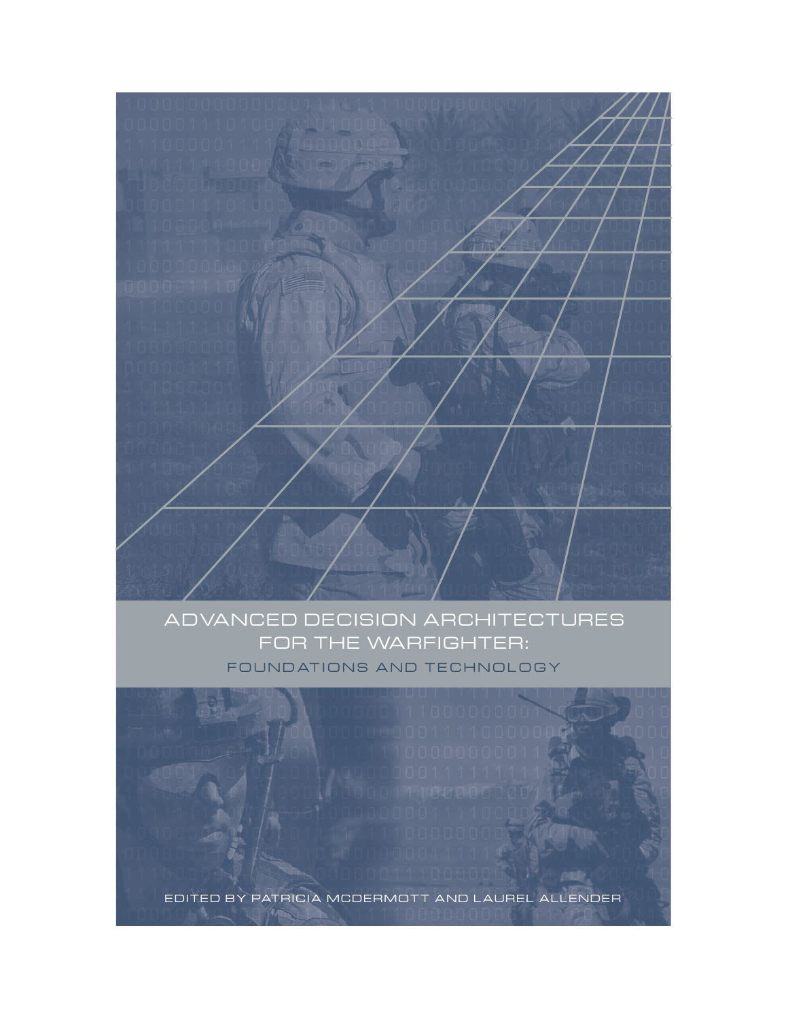ADVANCED DECISION ARCHITECTURES FOR THE WARFIGHTER: FOUNDATIONS AND TECHNOLOGY

EDITED BY PATRICIA MCDERMOTT AND LAUREL ALLENDER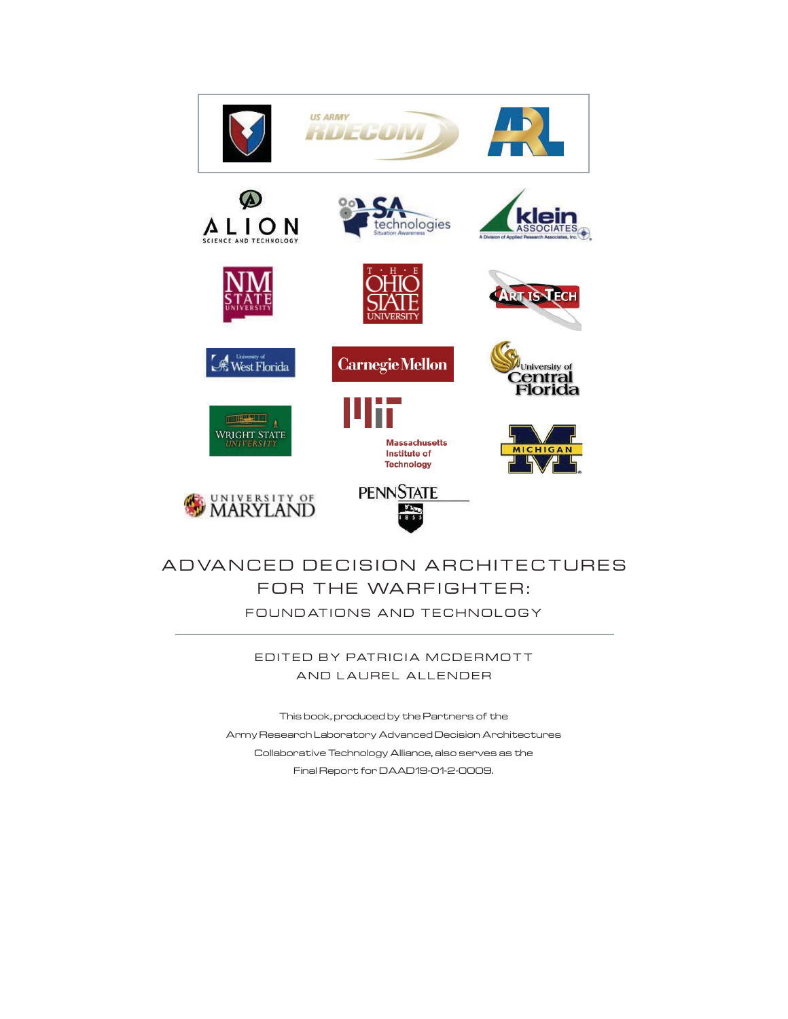

# A D VAN CED DE CISION ARCHITE CTURES FOR THE WARFIGHTER:

FOUNDATIONS AND TECHNOLOGY

EDITED BY PATRICIA MCDERMOTT AND LAUREL ALLENDER

This book, produced by the Partners of the Army Research Laboratory Advanced Decision Architectures Collaborative Technology Alliance, also serves as the Final Report for DAAD19-01-2-0009.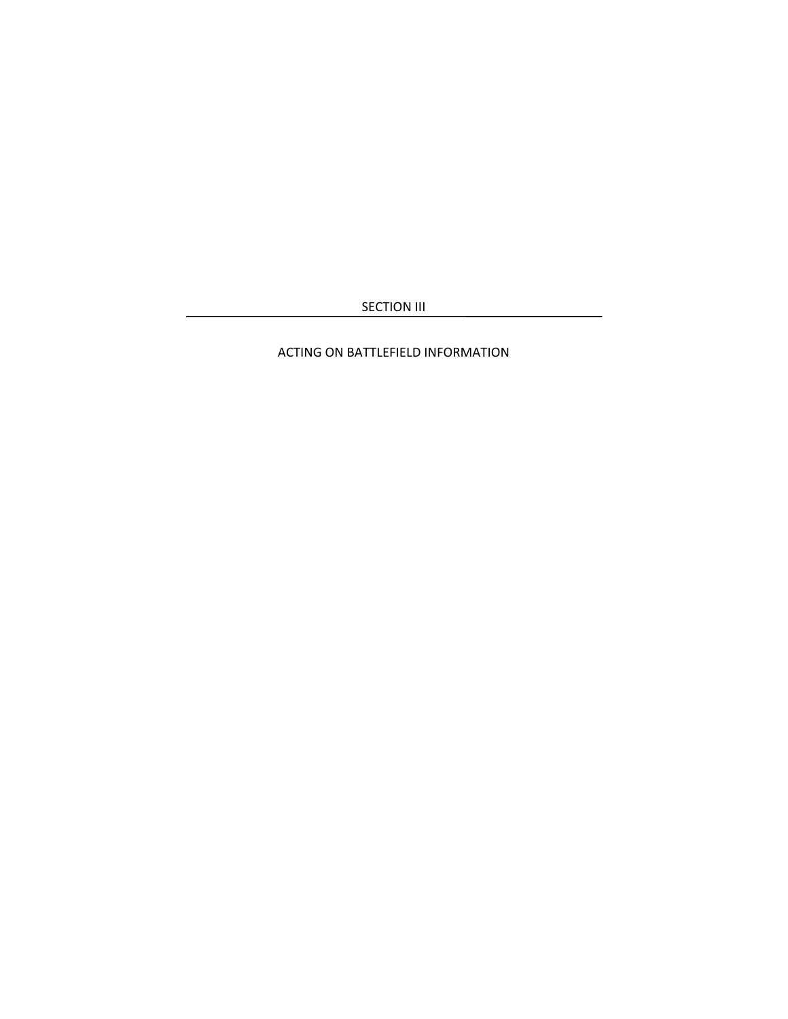SECTION III

ACTING ON BATTLEFIELD INFORMATION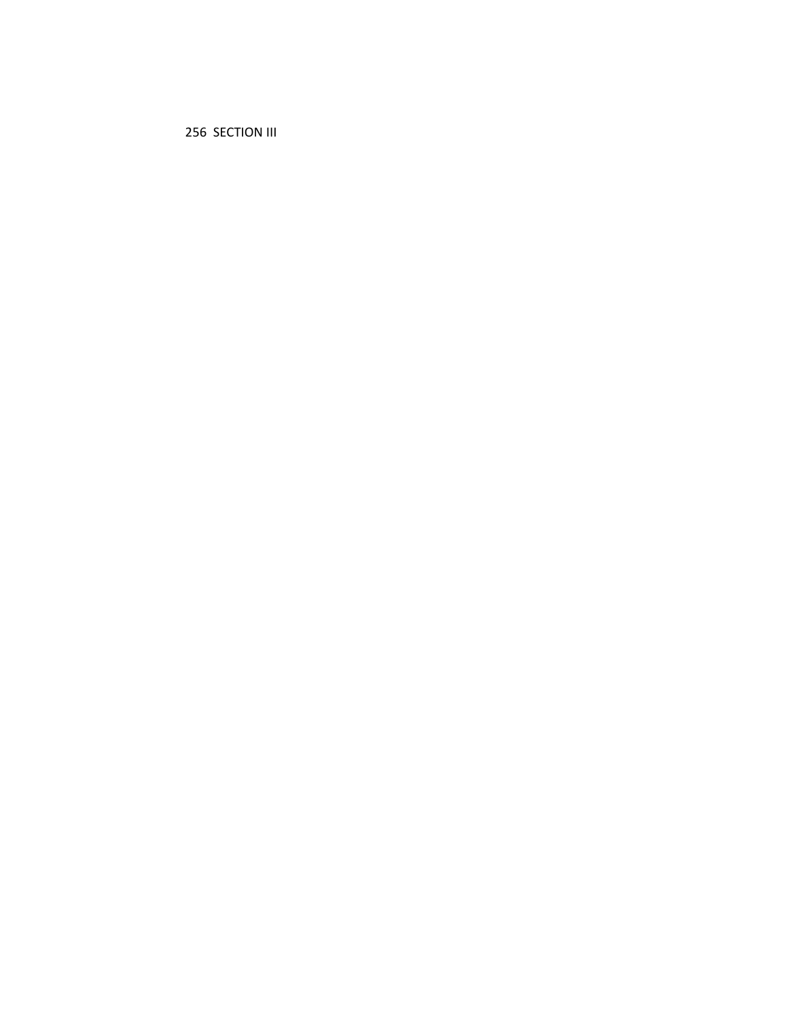### SECTION III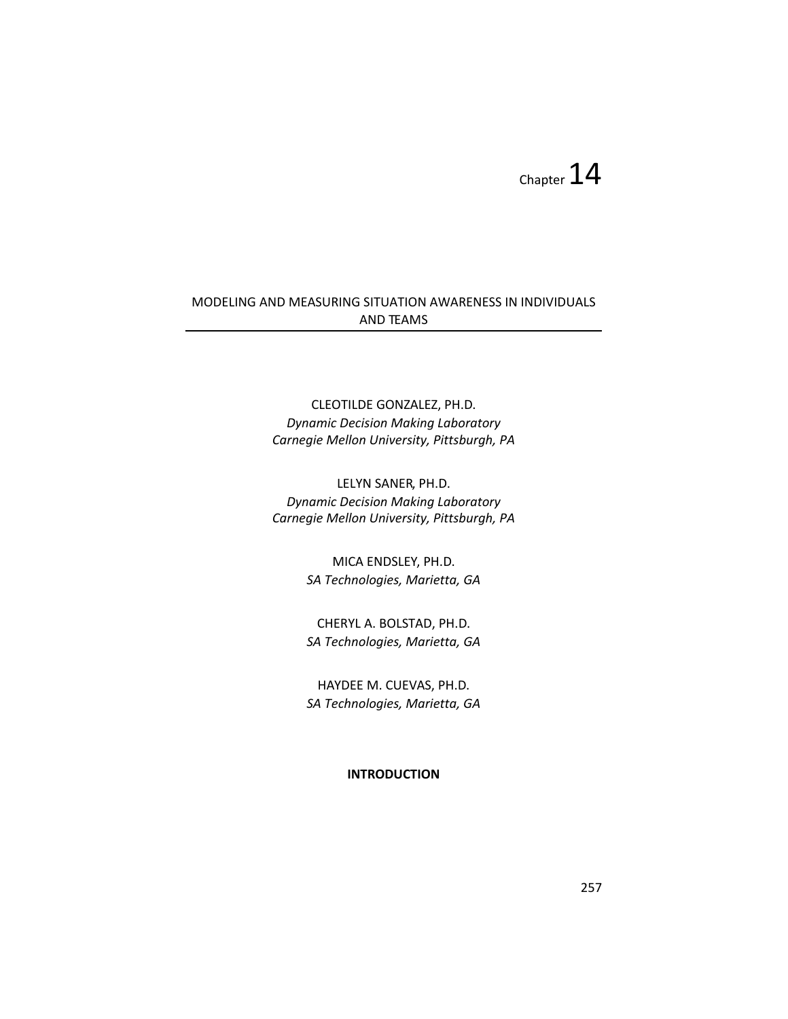# Chapter  $14$

## MODELING AND MEASURING SITUATION AWARENESS IN INDIVIDUALS AND TEAMS

CLEOTILDE GONZALEZ, PH.D. *Dynamic Decision Making Laboratory Carnegie Mellon University, Pittsburgh, PA*

LELYN SANER, PH.D. *Dynamic Decision Making Laboratory Carnegie Mellon University, Pittsburgh, PA*

> MICA ENDSLEY, PH.D. *SA Technologies, Marietta, GA*

> CHERYL A. BOLSTAD, PH.D. *SA Technologies, Marietta, GA*

> HAYDEE M. CUEVAS, PH.D. *SA Technologies, Marietta, GA*

#### **INTRODUCTION**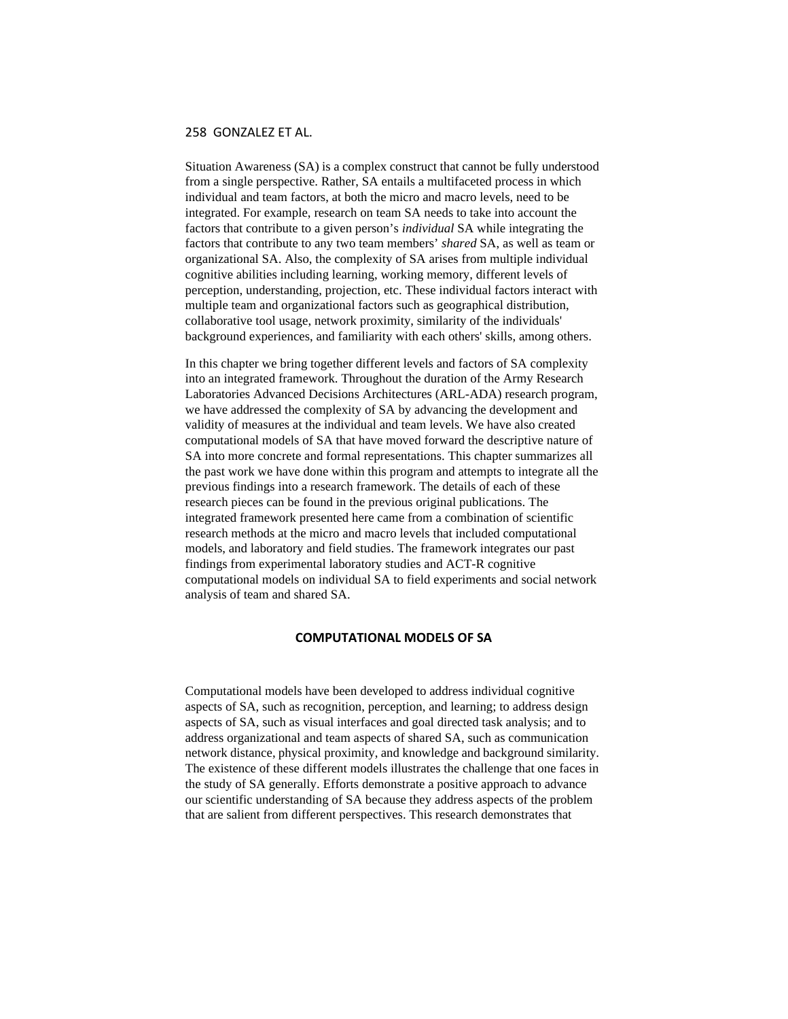Situation Awareness (SA) is a complex construct that cannot be fully understood from a single perspective. Rather, SA entails a multifaceted process in which individual and team factors, at both the micro and macro levels, need to be integrated. For example, research on team SA needs to take into account the factors that contribute to a given person's *individual* SA while integrating the factors that contribute to any two team members' *shared* SA, as well as team or organizational SA. Also, the complexity of SA arises from multiple individual cognitive abilities including learning, working memory, different levels of perception, understanding, projection, etc. These individual factors interact with multiple team and organizational factors such as geographical distribution, collaborative tool usage, network proximity, similarity of the individuals' background experiences, and familiarity with each others' skills, among others.

In this chapter we bring together different levels and factors of SA complexity into an integrated framework. Throughout the duration of the Army Research Laboratories Advanced Decisions Architectures (ARL-ADA) research program, we have addressed the complexity of SA by advancing the development and validity of measures at the individual and team levels. We have also created computational models of SA that have moved forward the descriptive nature of SA into more concrete and formal representations. This chapter summarizes all the past work we have done within this program and attempts to integrate all the previous findings into a research framework. The details of each of these research pieces can be found in the previous original publications. The integrated framework presented here came from a combination of scientific research methods at the micro and macro levels that included computational models, and laboratory and field studies. The framework integrates our past findings from experimental laboratory studies and ACT-R cognitive computational models on individual SA to field experiments and social network analysis of team and shared SA.

#### **COMPUTATIONAL MODELS OF SA**

Computational models have been developed to address individual cognitive aspects of SA, such as recognition, perception, and learning; to address design aspects of SA, such as visual interfaces and goal directed task analysis; and to address organizational and team aspects of shared SA, such as communication network distance, physical proximity, and knowledge and background similarity. The existence of these different models illustrates the challenge that one faces in the study of SA generally. Efforts demonstrate a positive approach to advance our scientific understanding of SA because they address aspects of the problem that are salient from different perspectives. This research demonstrates that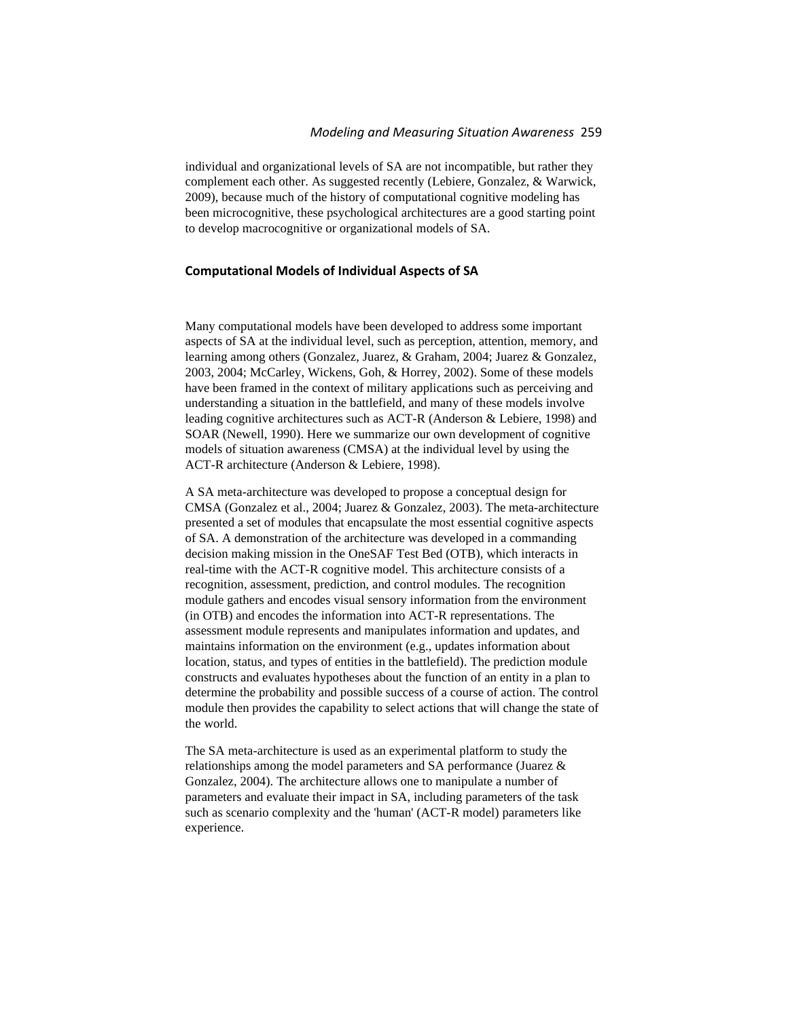individual and organizational levels of SA are not incompatible, but rather they complement each other. As suggested recently (Lebiere, Gonzalez, & Warwick, 2009), because much of the history of computational cognitive modeling has been microcognitive, these psychological architectures are a good starting point to develop macrocognitive or organizational models of SA.

#### **Computational Models of Individual Aspects of SA**

Many computational models have been developed to address some important aspects of SA at the individual level, such as perception, attention, memory, and learning among others (Gonzalez, Juarez, & Graham, 2004; Juarez & Gonzalez, 2003, 2004; McCarley, Wickens, Goh, & Horrey, 2002). Some of these models have been framed in the context of military applications such as perceiving and understanding a situation in the battlefield, and many of these models involve leading cognitive architectures such as ACT-R (Anderson & Lebiere, 1998) and SOAR (Newell, 1990). Here we summarize our own development of cognitive models of situation awareness (CMSA) at the individual level by using the ACT-R architecture (Anderson & Lebiere, 1998).

A SA meta-architecture was developed to propose a conceptual design for CMSA (Gonzalez et al., 2004; Juarez & Gonzalez, 2003). The meta-architecture presented a set of modules that encapsulate the most essential cognitive aspects of SA. A demonstration of the architecture was developed in a commanding decision making mission in the OneSAF Test Bed (OTB), which interacts in real-time with the ACT-R cognitive model. This architecture consists of a recognition, assessment, prediction, and control modules. The recognition module gathers and encodes visual sensory information from the environment (in OTB) and encodes the information into ACT-R representations. The assessment module represents and manipulates information and updates, and maintains information on the environment (e.g., updates information about location, status, and types of entities in the battlefield). The prediction module constructs and evaluates hypotheses about the function of an entity in a plan to determine the probability and possible success of a course of action. The control module then provides the capability to select actions that will change the state of the world.

The SA meta-architecture is used as an experimental platform to study the relationships among the model parameters and SA performance (Juarez & Gonzalez, 2004). The architecture allows one to manipulate a number of parameters and evaluate their impact in SA, including parameters of the task such as scenario complexity and the 'human' (ACT-R model) parameters like experience.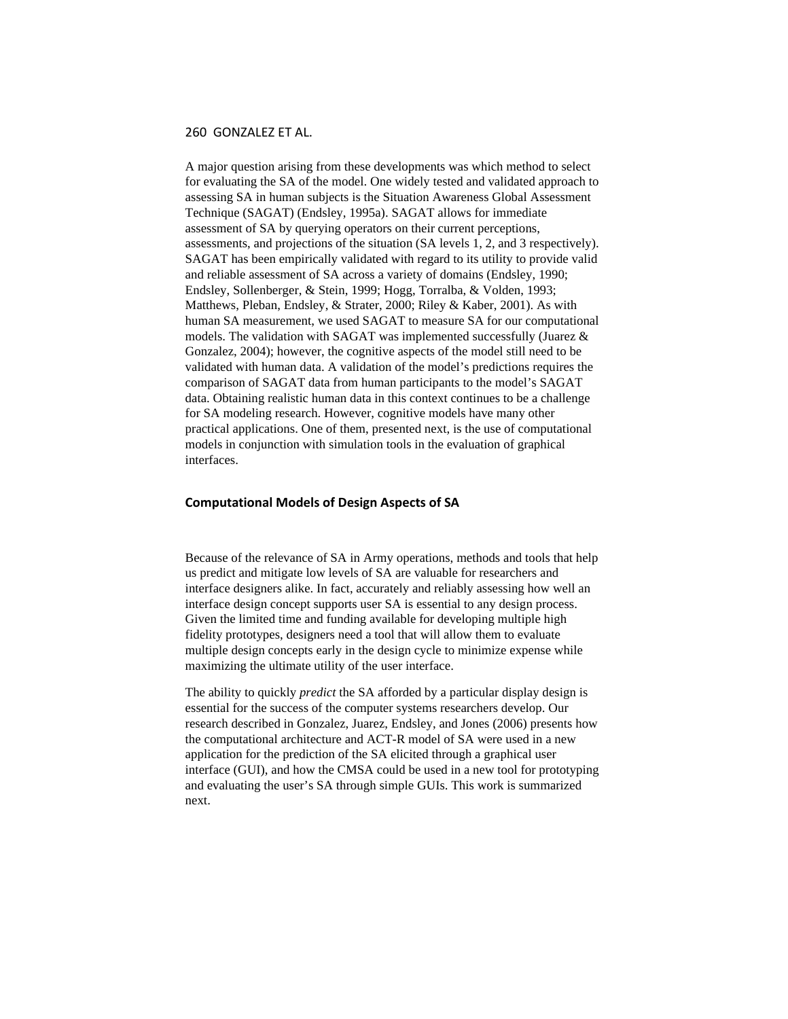A major question arising from these developments was which method to select for evaluating the SA of the model. One widely tested and validated approach to assessing SA in human subjects is the Situation Awareness Global Assessment Technique (SAGAT) (Endsley, 1995a). SAGAT allows for immediate assessment of SA by querying operators on their current perceptions, assessments, and projections of the situation (SA levels 1, 2, and 3 respectively). SAGAT has been empirically validated with regard to its utility to provide valid and reliable assessment of SA across a variety of domains (Endsley, 1990; Endsley, Sollenberger, & Stein, 1999; Hogg, Torralba, & Volden, 1993; Matthews, Pleban, Endsley, & Strater, 2000; Riley & Kaber, 2001). As with human SA measurement, we used SAGAT to measure SA for our computational models. The validation with SAGAT was implemented successfully (Juarez & Gonzalez, 2004); however, the cognitive aspects of the model still need to be validated with human data. A validation of the model's predictions requires the comparison of SAGAT data from human participants to the model's SAGAT data. Obtaining realistic human data in this context continues to be a challenge for SA modeling research. However, cognitive models have many other practical applications. One of them, presented next, is the use of computational models in conjunction with simulation tools in the evaluation of graphical interfaces.

#### **Computational Models of Design Aspects of SA**

Because of the relevance of SA in Army operations, methods and tools that help us predict and mitigate low levels of SA are valuable for researchers and interface designers alike. In fact, accurately and reliably assessing how well an interface design concept supports user SA is essential to any design process. Given the limited time and funding available for developing multiple high fidelity prototypes, designers need a tool that will allow them to evaluate multiple design concepts early in the design cycle to minimize expense while maximizing the ultimate utility of the user interface.

The ability to quickly *predict* the SA afforded by a particular display design is essential for the success of the computer systems researchers develop. Our research described in Gonzalez, Juarez, Endsley, and Jones (2006) presents how the computational architecture and ACT-R model of SA were used in a new application for the prediction of the SA elicited through a graphical user interface (GUI), and how the CMSA could be used in a new tool for prototyping and evaluating the user's SA through simple GUIs. This work is summarized next.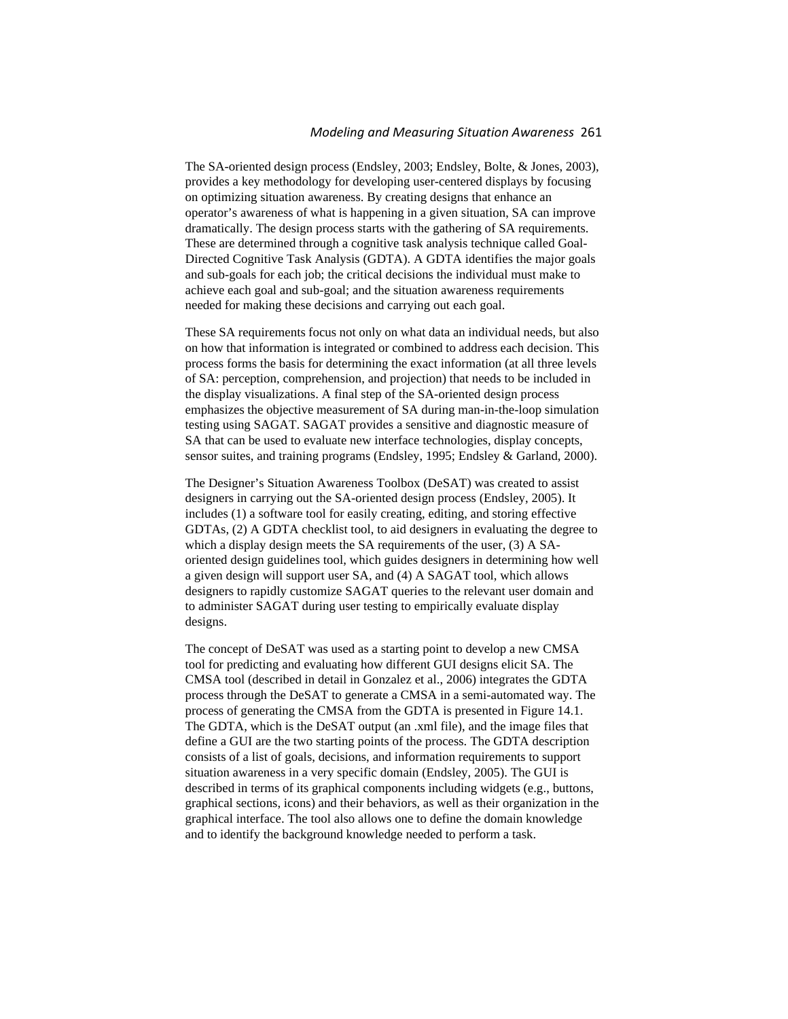#### *Modeling and Measuring Situation Awareness* 261

The SA-oriented design process (Endsley, 2003; Endsley, Bolte, & Jones, 2003), provides a key methodology for developing user-centered displays by focusing on optimizing situation awareness. By creating designs that enhance an operator's awareness of what is happening in a given situation, SA can improve dramatically. The design process starts with the gathering of SA requirements. These are determined through a cognitive task analysis technique called Goal-Directed Cognitive Task Analysis (GDTA). A GDTA identifies the major goals and sub-goals for each job; the critical decisions the individual must make to achieve each goal and sub-goal; and the situation awareness requirements needed for making these decisions and carrying out each goal.

These SA requirements focus not only on what data an individual needs, but also on how that information is integrated or combined to address each decision. This process forms the basis for determining the exact information (at all three levels of SA: perception, comprehension, and projection) that needs to be included in the display visualizations. A final step of the SA-oriented design process emphasizes the objective measurement of SA during man-in-the-loop simulation testing using SAGAT. SAGAT provides a sensitive and diagnostic measure of SA that can be used to evaluate new interface technologies, display concepts, sensor suites, and training programs (Endsley, 1995; Endsley & Garland, 2000).

The Designer's Situation Awareness Toolbox (DeSAT) was created to assist designers in carrying out the SA-oriented design process (Endsley, 2005). It includes (1) a software tool for easily creating, editing, and storing effective GDTAs, (2) A GDTA checklist tool, to aid designers in evaluating the degree to which a display design meets the SA requirements of the user, (3) A SAoriented design guidelines tool, which guides designers in determining how well a given design will support user SA, and (4) A SAGAT tool, which allows designers to rapidly customize SAGAT queries to the relevant user domain and to administer SAGAT during user testing to empirically evaluate display designs.

The concept of DeSAT was used as a starting point to develop a new CMSA tool for predicting and evaluating how different GUI designs elicit SA. The CMSA tool (described in detail in Gonzalez et al., 2006) integrates the GDTA process through the DeSAT to generate a CMSA in a semi-automated way. The process of generating the CMSA from the GDTA is presented in [Figure 14.1.](#page-10-0) The GDTA, which is the DeSAT output (an .xml file), and the image files that define a GUI are the two starting points of the process. The GDTA description consists of a list of goals, decisions, and information requirements to support situation awareness in a very specific domain (Endsley, 2005). The GUI is described in terms of its graphical components including widgets (e.g., buttons, graphical sections, icons) and their behaviors, as well as their organization in the graphical interface. The tool also allows one to define the domain knowledge and to identify the background knowledge needed to perform a task.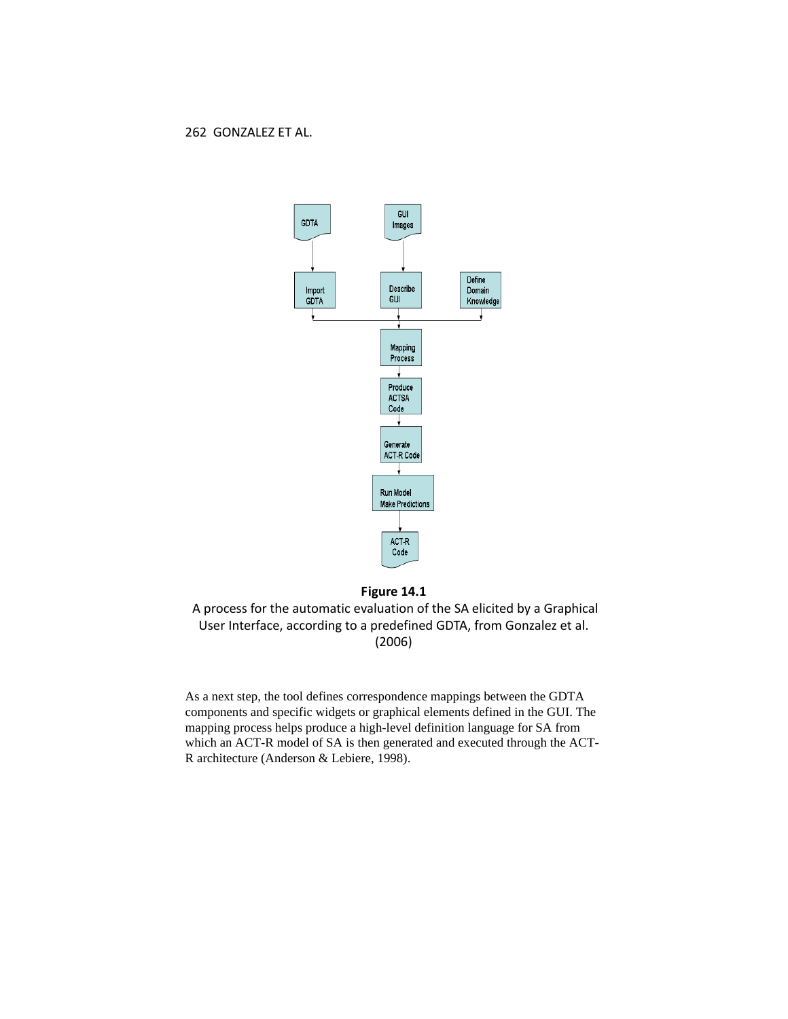

#### **Figure 14.1**

<span id="page-10-0"></span>A process for the automatic evaluation of the SA elicited by a Graphical User Interface, according to a predefined GDTA, from Gonzalez et al. (2006)

As a next step, the tool defines correspondence mappings between the GDTA components and specific widgets or graphical elements defined in the GUI. The mapping process helps produce a high-level definition language for SA from which an ACT-R model of SA is then generated and executed through the ACT-R architecture (Anderson & Lebiere, 1998).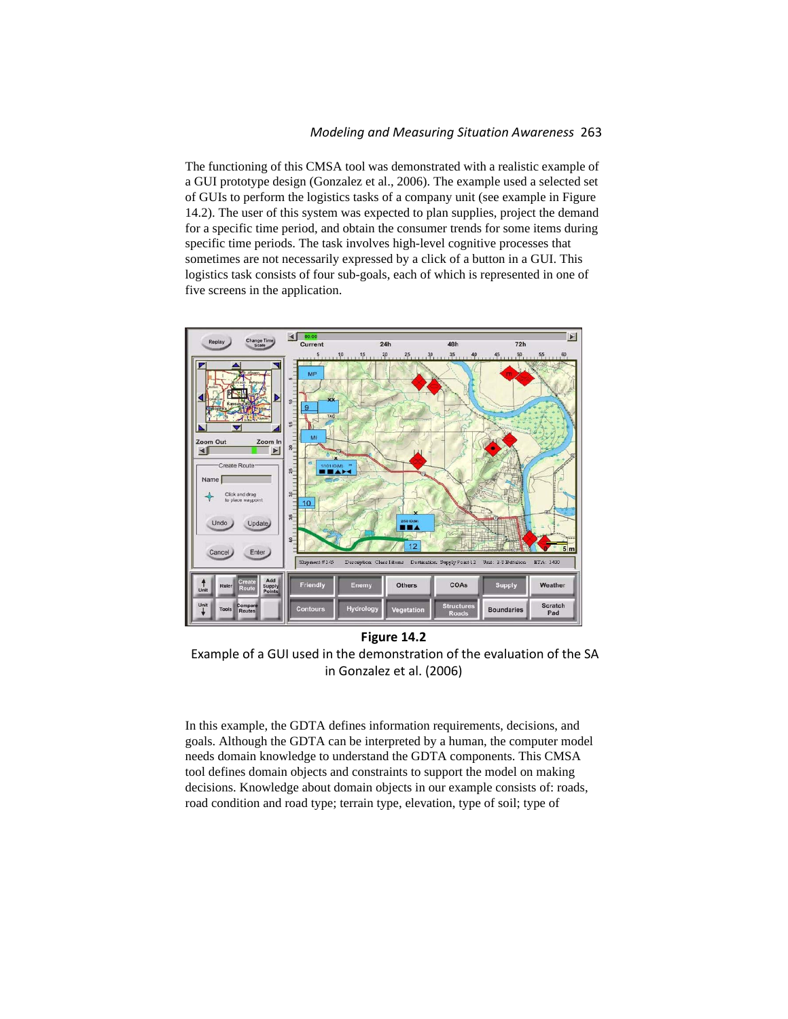The functioning of this CMSA tool was demonstrated with a realistic example of a GUI prototype design (Gonzalez et al., 2006). The example used a selected set of GUIs to perform the logistics tasks of a company unit (see example in [Figure](#page-11-0)  [14.2](#page-11-0)). The user of this system was expected to plan supplies, project the demand for a specific time period, and obtain the consumer trends for some items during specific time periods. The task involves high-level cognitive processes that sometimes are not necessarily expressed by a click of a button in a GUI. This logistics task consists of four sub-goals, each of which is represented in one of five screens in the application.



#### **Figure 14.2**

<span id="page-11-0"></span>Example of a GUI used in the demonstration of the evaluation of the SA in Gonzalez et al. (2006)

In this example, the GDTA defines information requirements, decisions, and goals. Although the GDTA can be interpreted by a human, the computer model needs domain knowledge to understand the GDTA components. This CMSA tool defines domain objects and constraints to support the model on making decisions. Knowledge about domain objects in our example consists of: roads, road condition and road type; terrain type, elevation, type of soil; type of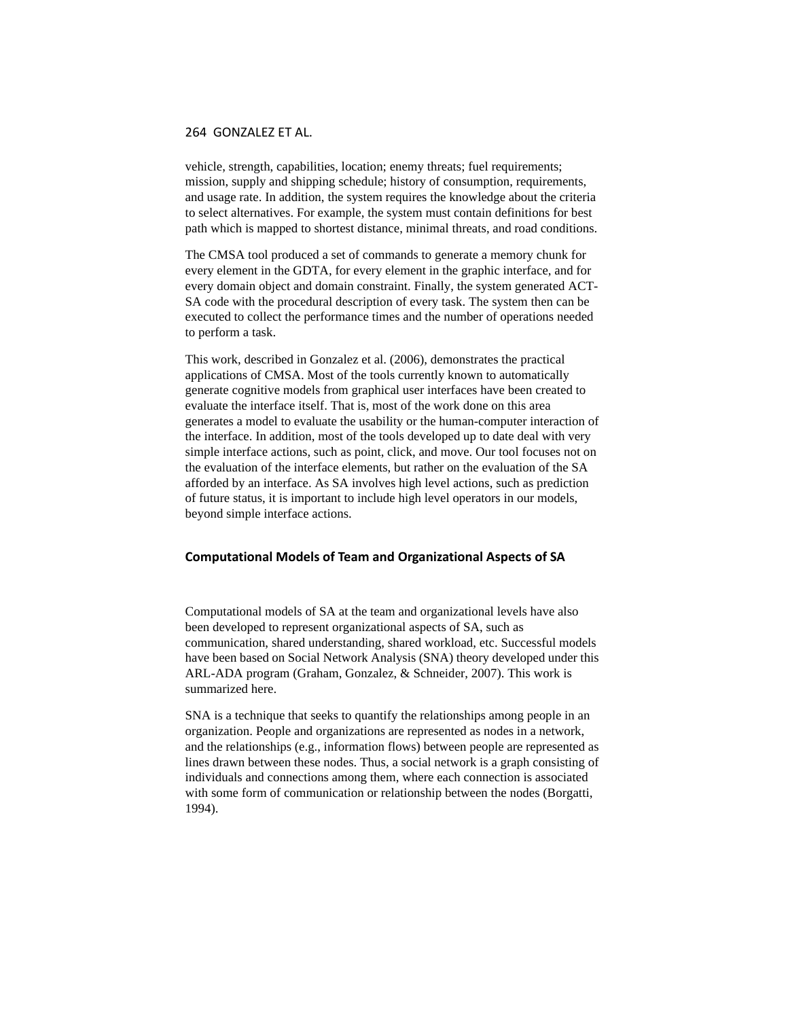vehicle, strength, capabilities, location; enemy threats; fuel requirements; mission, supply and shipping schedule; history of consumption, requirements, and usage rate. In addition, the system requires the knowledge about the criteria to select alternatives. For example, the system must contain definitions for best path which is mapped to shortest distance, minimal threats, and road conditions.

The CMSA tool produced a set of commands to generate a memory chunk for every element in the GDTA, for every element in the graphic interface, and for every domain object and domain constraint. Finally, the system generated ACT-SA code with the procedural description of every task. The system then can be executed to collect the performance times and the number of operations needed to perform a task.

This work, described in Gonzalez et al. (2006), demonstrates the practical applications of CMSA. Most of the tools currently known to automatically generate cognitive models from graphical user interfaces have been created to evaluate the interface itself. That is, most of the work done on this area generates a model to evaluate the usability or the human-computer interaction of the interface. In addition, most of the tools developed up to date deal with very simple interface actions, such as point, click, and move. Our tool focuses not on the evaluation of the interface elements, but rather on the evaluation of the SA afforded by an interface. As SA involves high level actions, such as prediction of future status, it is important to include high level operators in our models, beyond simple interface actions.

#### **Computational Models of Team and Organizational Aspects of SA**

Computational models of SA at the team and organizational levels have also been developed to represent organizational aspects of SA, such as communication, shared understanding, shared workload, etc. Successful models have been based on Social Network Analysis (SNA) theory developed under this ARL-ADA program (Graham, Gonzalez, & Schneider, 2007). This work is summarized here.

SNA is a technique that seeks to quantify the relationships among people in an organization. People and organizations are represented as nodes in a network, and the relationships (e.g., information flows) between people are represented as [lines drawn between these nodes. Thus, a social network is a graph consisting of](http://www.satechnologies.com/html/products.html)  individuals and connections among them, where each connection is associated with some form of communication or relationship between the nodes (Borgatti, [1994\).](http://www.satechnologies.com/html/products.html)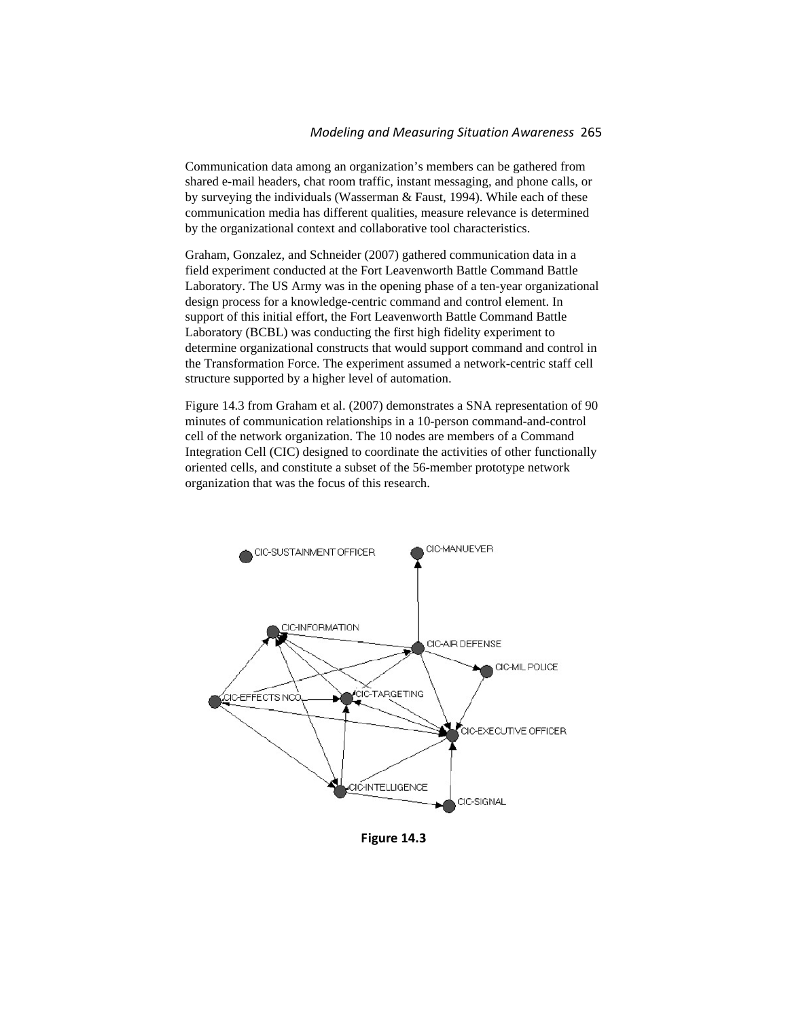Communication data among an organization's members can be gathered from shared e-mail headers, chat room traffic, instant messaging, and phone calls, or by surveying the individuals (Wasserman & Faust, 1994). While each of these communication media has different qualities, measure relevance is determined by the organizational context and collaborative tool characteristics.

Graham, Gonzalez, and Schneider (2007) gathered communication data in a field experiment conducted at the Fort Leavenworth Battle Command Battle Laboratory. The US Army was in the opening phase of a ten-year organizational design process for a knowledge-centric command and control element. In support of this initial effort, the Fort Leavenworth Battle Command Battle Laboratory (BCBL) was conducting the first high fidelity experiment to determine organizational constructs that would support command and control in the Transformation Force. The experiment assumed a network-centric staff cell structure supported by a higher level of automation.

[Figure 14.3](#page-13-0) from Graham et al. (2007) demonstrates a SNA representation of 90 minutes of communication relationships in a 10-person command-and-control cell of the network organization. The 10 nodes are members of a Command Integration Cell (CIC) designed to coordinate the activities of other functionally oriented cells, and constitute a subset of the 56-member prototype network organization that was the focus of this research.



#### <span id="page-13-0"></span>**Figure 14.3**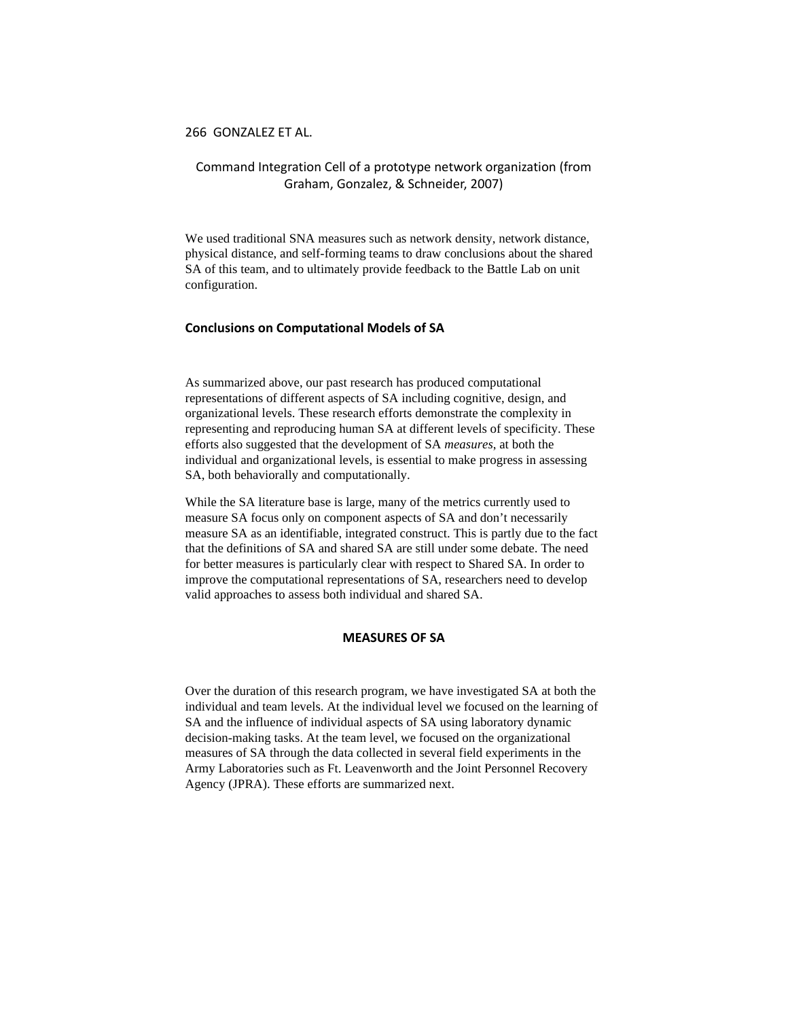#### Command Integration Cell of a prototype network organization (from Graham, Gonzalez, & Schneider, 2007)

We used traditional SNA measures such as network density, network distance, physical distance, and self-forming teams to draw conclusions about the shared SA of this team, and to ultimately provide feedback to the Battle Lab on unit configuration.

#### **Conclusions on Computational Models of SA**

As summarized above, our past research has produced computational representations of different aspects of SA including cognitive, design, and organizational levels. These research efforts demonstrate the complexity in representing and reproducing human SA at different levels of specificity. These efforts also suggested that the development of SA *measures*, at both the individual and organizational levels, is essential to make progress in assessing SA, both behaviorally and computationally.

While the SA literature base is large, many of the metrics currently used to measure SA focus only on component aspects of SA and don't necessarily measure SA as an identifiable, integrated construct. This is partly due to the fact that the definitions of SA and shared SA are still under some debate. The need for better measures is particularly clear with respect to Shared SA. In order to improve the computational representations of SA, researchers need to develop valid approaches to assess both individual and shared SA.

#### **MEASURES OF SA**

Over the duration of this research program, we have investigated SA at both the individual and team levels. At the individual level we focused on the learning of SA and the influence of individual aspects of SA using laboratory dynamic decision-making tasks. At the team level, we focused on the organizational measures of SA through the data collected in several field experiments in the Army Laboratories such as Ft. Leavenworth and the Joint Personnel Recovery Agency (JPRA). These efforts are summarized next.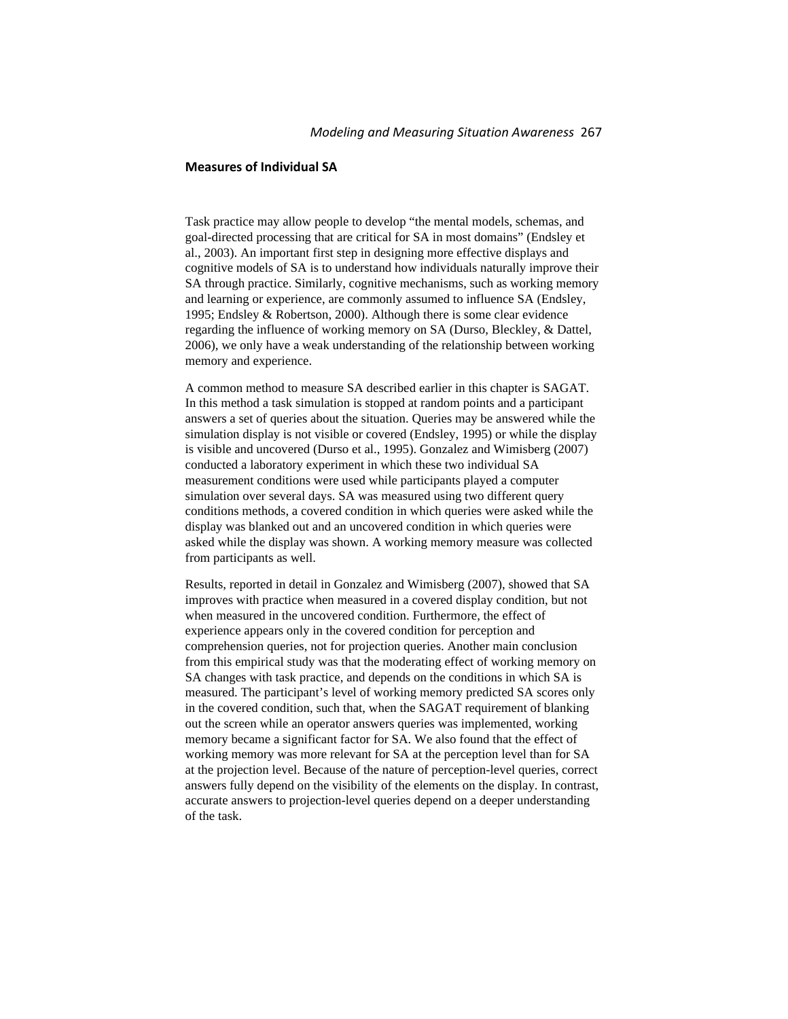#### **Measures of Individual SA**

Task practice may allow people to develop "the mental models, schemas, and goal-directed processing that are critical for SA in most domains" (Endsley et al., 2003). An important first step in designing more effective displays and cognitive models of SA is to understand how individuals naturally improve their SA through practice. Similarly, cognitive mechanisms, such as working memory and learning or experience, are commonly assumed to influence SA (Endsley, 1995; Endsley & Robertson, 2000). Although there is some clear evidence regarding the influence of working memory on SA (Durso, Bleckley, & Dattel, 2006), we only have a weak understanding of the relationship between working memory and experience.

A common method to measure SA described earlier in this chapter is SAGAT. In this method a task simulation is stopped at random points and a participant answers a set of queries about the situation. Queries may be answered while the simulation display is not visible or covered (Endsley, 1995) or while the display is visible and uncovered (Durso et al., 1995). Gonzalez and Wimisberg (2007) conducted a laboratory experiment in which these two individual SA measurement conditions were used while participants played a computer simulation over several days. SA was measured using two different query conditions methods, a covered condition in which queries were asked while the display was blanked out and an uncovered condition in which queries were asked while the display was shown. A working memory measure was collected from participants as well.

Results, reported in detail in Gonzalez and Wimisberg (2007), showed that SA improves with practice when measured in a covered display condition, but not when measured in the uncovered condition. Furthermore, the effect of experience appears only in the covered condition for perception and comprehension queries, not for projection queries. Another main conclusion from this empirical study was that the moderating effect of working memory on SA changes with task practice, and depends on the conditions in which SA is measured. The participant's level of working memory predicted SA scores only in the covered condition, such that, when the SAGAT requirement of blanking out the screen while an operator answers queries was implemented, working memory became a significant factor for SA. We also found that the effect of working memory was more relevant for SA at the perception level than for SA at the projection level. Because of the nature of perception-level queries, correct answers fully depend on the visibility of the elements on the display. In contrast, accurate answers to projection-level queries depend on a deeper understanding of the task.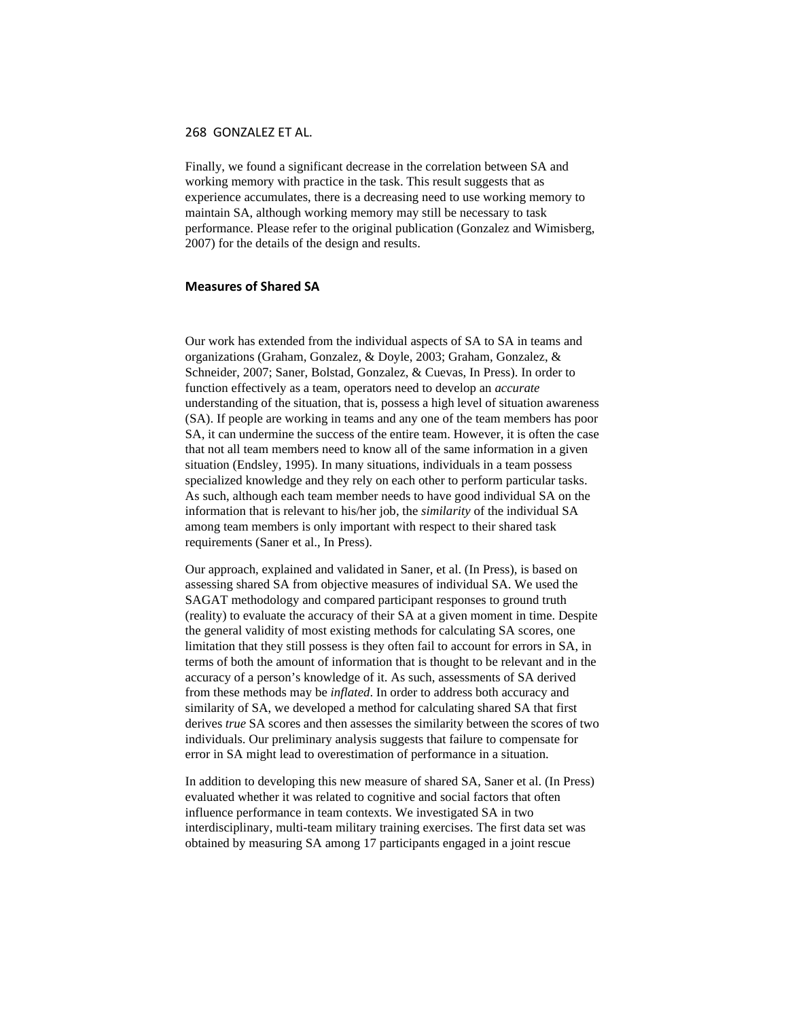Finally, we found a significant decrease in the correlation between SA and working memory with practice in the task. This result suggests that as experience accumulates, there is a decreasing need to use working memory to maintain SA, although working memory may still be necessary to task performance. Please refer to the original publication (Gonzalez and Wimisberg, 2007) for the details of the design and results.

#### **Measures of Shared SA**

Our work has extended from the individual aspects of SA to SA in teams and organizations (Graham, Gonzalez, & Doyle, 2003; Graham, Gonzalez, & Schneider, 2007; Saner, Bolstad, Gonzalez, & Cuevas, In Press). In order to function effectively as a team, operators need to develop an *accurate* understanding of the situation, that is, possess a high level of situation awareness (SA). If people are working in teams and any one of the team members has poor SA, it can undermine the success of the entire team. However, it is often the case that not all team members need to know all of the same information in a given situation (Endsley, 1995). In many situations, individuals in a team possess specialized knowledge and they rely on each other to perform particular tasks. As such, although each team member needs to have good individual SA on the information that is relevant to his/her job, the *similarity* of the individual SA among team members is only important with respect to their shared task requirements (Saner et al., In Press).

Our approach, explained and validated in Saner, et al. (In Press), is based on assessing shared SA from objective measures of individual SA. We used the SAGAT methodology and compared participant responses to ground truth (reality) to evaluate the accuracy of their SA at a given moment in time. Despite the general validity of most existing methods for calculating SA scores, one limitation that they still possess is they often fail to account for errors in SA, in terms of both the amount of information that is thought to be relevant and in the accuracy of a person's knowledge of it. As such, assessments of SA derived from these methods may be *inflated*. In order to address both accuracy and similarity of SA, we developed a method for calculating shared SA that first derives *true* SA scores and then assesses the similarity between the scores of two individuals. Our preliminary analysis suggests that failure to compensate for error in SA might lead to overestimation of performance in a situation.

In addition to developing this new measure of shared SA, Saner et al. (In Press) evaluated whether it was related to cognitive and social factors that often influence performance in team contexts. We investigated SA in two interdisciplinary, multi-team military training exercises. The first data set was obtained by measuring SA among 17 participants engaged in a joint rescue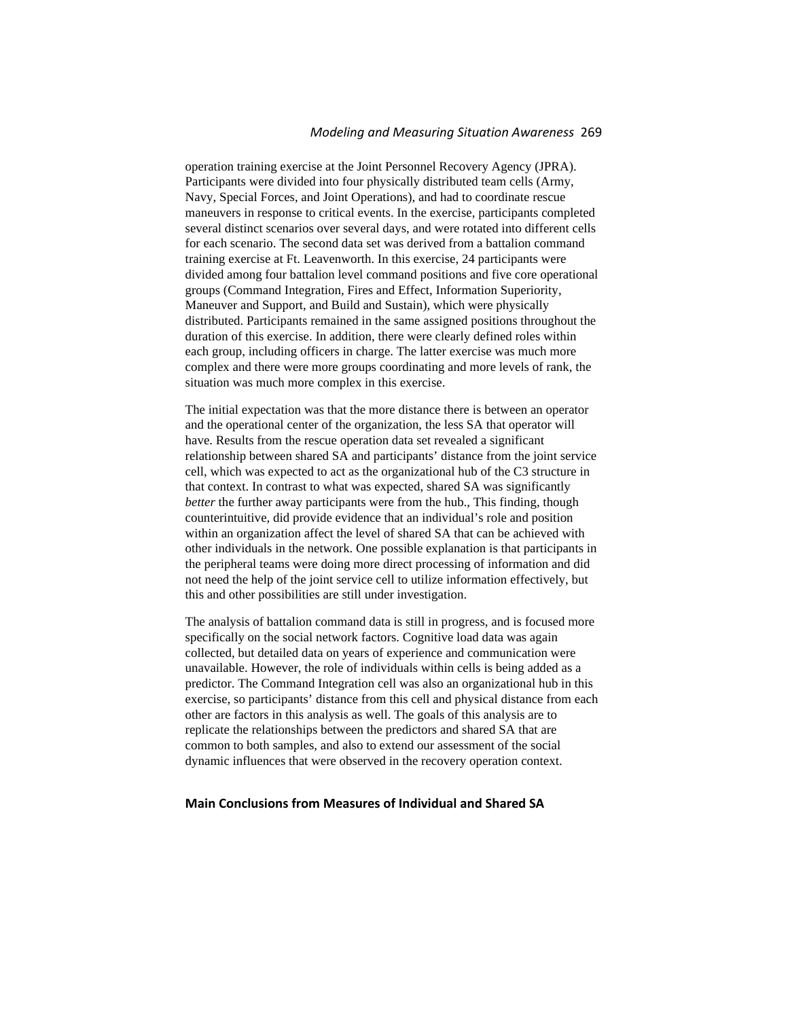#### *Modeling and Measuring Situation Awareness* 269

operation training exercise at the Joint Personnel Recovery Agency (JPRA). Participants were divided into four physically distributed team cells (Army, Navy, Special Forces, and Joint Operations), and had to coordinate rescue maneuvers in response to critical events. In the exercise, participants completed several distinct scenarios over several days, and were rotated into different cells for each scenario. The second data set was derived from a battalion command training exercise at Ft. Leavenworth. In this exercise, 24 participants were divided among four battalion level command positions and five core operational groups (Command Integration, Fires and Effect, Information Superiority, Maneuver and Support, and Build and Sustain), which were physically distributed. Participants remained in the same assigned positions throughout the duration of this exercise. In addition, there were clearly defined roles within each group, including officers in charge. The latter exercise was much more complex and there were more groups coordinating and more levels of rank, the situation was much more complex in this exercise.

The initial expectation was that the more distance there is between an operator and the operational center of the organization, the less SA that operator will have. Results from the rescue operation data set revealed a significant relationship between shared SA and participants' distance from the joint service cell, which was expected to act as the organizational hub of the C3 structure in that context. In contrast to what was expected, shared SA was significantly *better* the further away participants were from the hub., This finding, though counterintuitive, did provide evidence that an individual's role and position within an organization affect the level of shared SA that can be achieved with other individuals in the network. One possible explanation is that participants in the peripheral teams were doing more direct processing of information and did not need the help of the joint service cell to utilize information effectively, but this and other possibilities are still under investigation.

The analysis of battalion command data is still in progress, and is focused more specifically on the social network factors. Cognitive load data was again collected, but detailed data on years of experience and communication were unavailable. However, the role of individuals within cells is being added as a predictor. The Command Integration cell was also an organizational hub in this exercise, so participants' distance from this cell and physical distance from each other are factors in this analysis as well. The goals of this analysis are to replicate the relationships between the predictors and shared SA that are common to both samples, and also to extend our assessment of the social dynamic influences that were observed in the recovery operation context.

#### **Main Conclusions from Measures of Individual and Shared SA**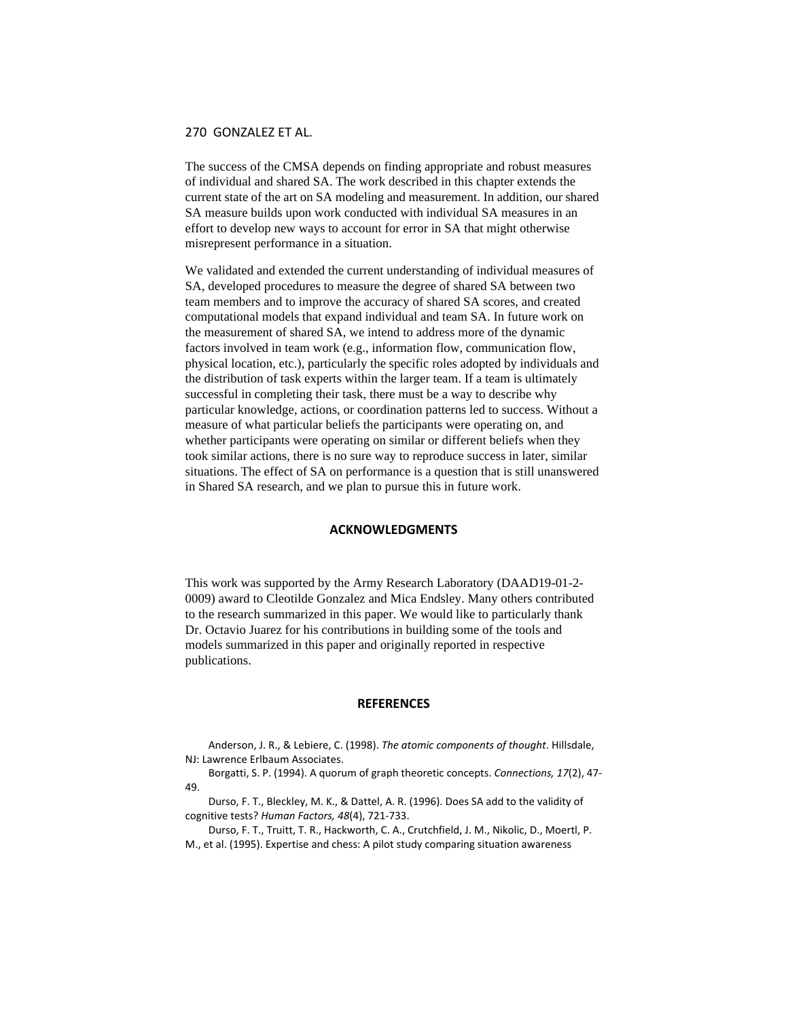The success of the CMSA depends on finding appropriate and robust measures of individual and shared SA. The work described in this chapter extends the current state of the art on SA modeling and measurement. In addition, our shared SA measure builds upon work conducted with individual SA measures in an effort to develop new ways to account for error in SA that might otherwise misrepresent performance in a situation.

We validated and extended the current understanding of individual measures of SA, developed procedures to measure the degree of shared SA between two team members and to improve the accuracy of shared SA scores, and created computational models that expand individual and team SA. In future work on the measurement of shared SA, we intend to address more of the dynamic factors involved in team work (e.g., information flow, communication flow, physical location, etc.), particularly the specific roles adopted by individuals and the distribution of task experts within the larger team. If a team is ultimately successful in completing their task, there must be a way to describe why particular knowledge, actions, or coordination patterns led to success. Without a measure of what particular beliefs the participants were operating on, and whether participants were operating on similar or different beliefs when they took similar actions, there is no sure way to reproduce success in later, similar situations. The effect of SA on performance is a question that is still unanswered in Shared SA research, and we plan to pursue this in future work.

#### **ACKNOWLEDGMENTS**

This work was supported by the Army Research Laboratory (DAAD19-01-2- 0009) award to Cleotilde Gonzalez and Mica Endsley. Many others contributed to the research summarized in this paper. We would like to particularly thank Dr. Octavio Juarez for his contributions in building some of the tools and models summarized in this paper and originally reported in respective publications.

#### **REFERENCES**

Anderson, J. R., & Lebiere, C. (1998). *The atomic components of thought*. Hillsdale, NJ: Lawrence Erlbaum Associates.

Borgatti, S. P. (1994). A quorum of graph theoretic concepts. *Connections, 17*(2), 47‐ 49.

Durso, F. T., Bleckley, M. K., & Dattel, A. R. (1996). Does SA add to the validity of cognitive tests? *Human Factors, 48*(4), 721‐733.

Durso, F. T., Truitt, T. R., Hackworth, C. A., Crutchfield, J. M., Nikolic, D., Moertl, P. M., et al. (1995). Expertise and chess: A pilot study comparing situation awareness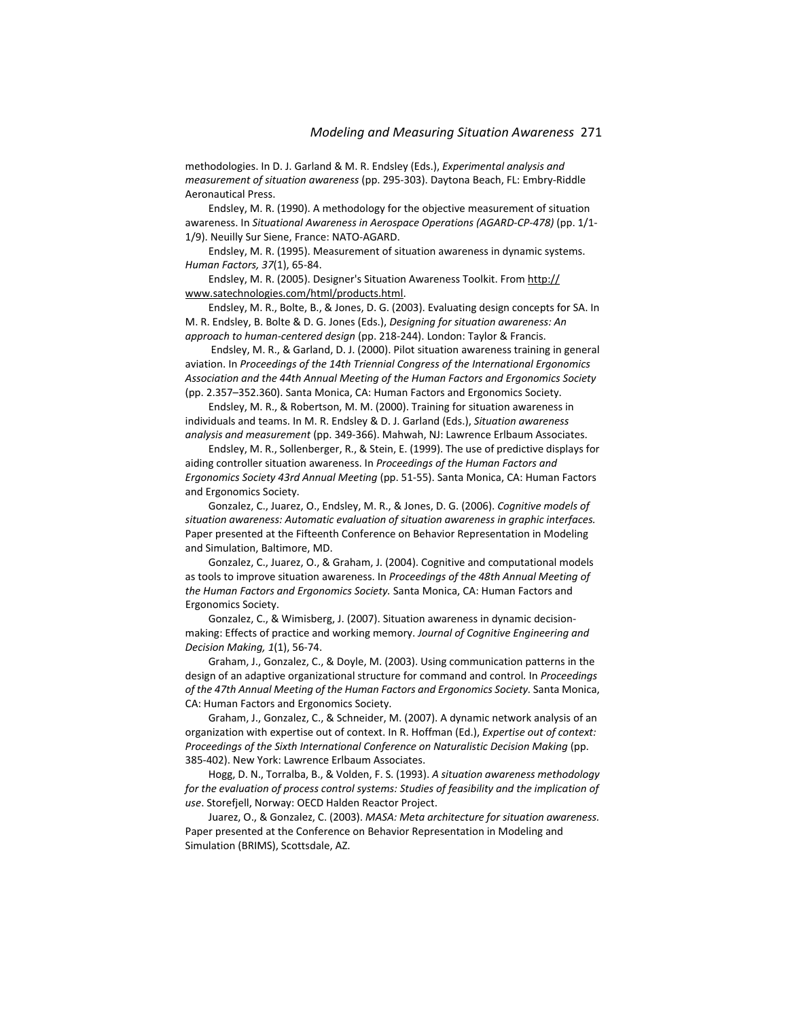methodologies. In D. J. Garland & M. R. Endsley (Eds.), *Experimental analysis and measurement of situation awareness* (pp. 295‐303). Daytona Beach, FL: Embry‐Riddle Aeronautical Press.

Endsley, M. R. (1990). A methodology for the objective measurement of situation awareness. In *Situational Awareness in Aerospace Operations (AGARD‐CP‐478)* (pp. 1/1‐ 1/9). Neuilly Sur Siene, France: NATO‐AGARD.

Endsley, M. R. (1995). Measurement of situation awareness in dynamic systems. *Human Factors, 37*(1), 65‐84.

Endsley, M. R. (2005). Designer's Situation Awareness Toolkit. From http:// www.satechnologies.com/html/products.html.

Endsley, M. R., Bolte, B., & Jones, D. G. (2003). Evaluating design concepts for SA. In M. R. Endsley, B. Bolte & D. G. Jones (Eds.), *Designing for situation awareness: An approach to human‐centered design* (pp. 218‐244). London: Taylor & Francis.

Endsley, M. R., & Garland, D. J. (2000). Pilot situation awareness training in general aviation. In *Proceedings of the 14th Triennial Congress of the International Ergonomics Association and the 44th Annual Meeting of the Human Factors and Ergonomics Society* (pp. 2.357–352.360). Santa Monica, CA: Human Factors and Ergonomics Society.

Endsley, M. R., & Robertson, M. M. (2000). Training for situation awareness in individuals and teams. In M. R. Endsley & D. J. Garland (Eds.), *Situation awareness analysis and measurement* (pp. 349‐366). Mahwah, NJ: Lawrence Erlbaum Associates.

Endsley, M. R., Sollenberger, R., & Stein, E. (1999). The use of predictive displays for aiding controller situation awareness. In *Proceedings of the Human Factors and Ergonomics Society 43rd Annual Meeting* (pp. 51‐55). Santa Monica, CA: Human Factors and Ergonomics Society.

Gonzalez, C., Juarez, O., Endsley, M. R., & Jones, D. G. (2006). *Cognitive models of situation awareness: Automatic evaluation of situation awareness in graphic interfaces.* Paper presented at the Fifteenth Conference on Behavior Representation in Modeling and Simulation, Baltimore, MD.

Gonzalez, C., Juarez, O., & Graham, J. (2004). Cognitive and computational models as tools to improve situation awareness. In *Proceedings of the 48th Annual Meeting of the Human Factors and Ergonomics Society.* Santa Monica, CA: Human Factors and Ergonomics Society.

Gonzalez, C., & Wimisberg, J. (2007). Situation awareness in dynamic decision‐ making: Effects of practice and working memory. *Journal of Cognitive Engineering and Decision Making, 1*(1), 56‐74.

Graham, J., Gonzalez, C., & Doyle, M. (2003). Using communication patterns in the design of an adaptive organizational structure for command and control*.* In *Proceedings of the 47th Annual Meeting of the Human Factors and Ergonomics Society.* Santa Monica, CA: Human Factors and Ergonomics Society.

Graham, J., Gonzalez, C., & Schneider, M. (2007). A dynamic network analysis of an organization with expertise out of context. In R. Hoffman (Ed.), *Expertise out of context: Proceedings of the Sixth International Conference on Naturalistic Decision Making* (pp. 385‐402). New York: Lawrence Erlbaum Associates.

Hogg, D. N., Torralba, B., & Volden, F. S. (1993). *A situation awareness methodology for the evaluation of process control systems: Studies of feasibility and the implication of use*. Storefjell, Norway: OECD Halden Reactor Project.

Juarez, O., & Gonzalez, C. (2003). *MASA: Meta architecture for situation awareness.* Paper presented at the Conference on Behavior Representation in Modeling and Simulation (BRIMS), Scottsdale, AZ.